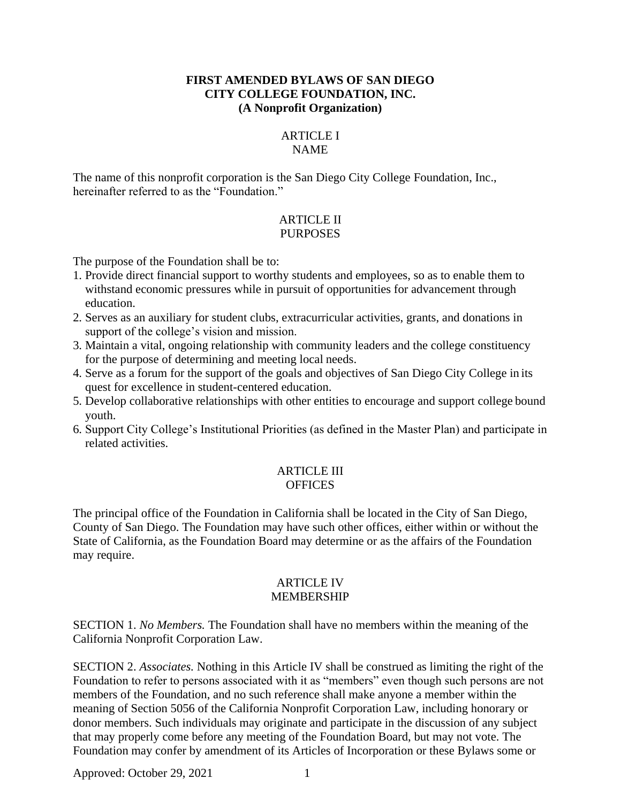#### **FIRST AMENDED BYLAWS OF SAN DIEGO CITY COLLEGE FOUNDATION, INC. (A Nonprofit Organization)**

#### ARTICLE I NAME

The name of this nonprofit corporation is the San Diego City College Foundation, Inc., hereinafter referred to as the "Foundation."

## ARTICLE II PURPOSES

The purpose of the Foundation shall be to:

- 1. Provide direct financial support to worthy students and employees, so as to enable them to withstand economic pressures while in pursuit of opportunities for advancement through education.
- 2. Serves as an auxiliary for student clubs, extracurricular activities, grants, and donations in support of the college's vision and mission.
- 3. Maintain a vital, ongoing relationship with community leaders and the college constituency for the purpose of determining and meeting local needs.
- 4. Serve as a forum for the support of the goals and objectives of San Diego City College in its quest for excellence in student-centered education.
- 5. Develop collaborative relationships with other entities to encourage and support college bound youth.
- 6. Support City College's Institutional Priorities (as defined in the Master Plan) and participate in related activities.

### ARTICLE III **OFFICES**

The principal office of the Foundation in California shall be located in the City of San Diego, County of San Diego. The Foundation may have such other offices, either within or without the State of California, as the Foundation Board may determine or as the affairs of the Foundation may require.

#### ARTICLE IV MEMBERSHIP

SECTION 1. *No Members.* The Foundation shall have no members within the meaning of the California Nonprofit Corporation Law.

SECTION 2. *Associates.* Nothing in this Article IV shall be construed as limiting the right of the Foundation to refer to persons associated with it as "members" even though such persons are not members of the Foundation, and no such reference shall make anyone a member within the meaning of Section 5056 of the California Nonprofit Corporation Law, including honorary or donor members. Such individuals may originate and participate in the discussion of any subject that may properly come before any meeting of the Foundation Board, but may not vote. The Foundation may confer by amendment of its Articles of Incorporation or these Bylaws some or

Approved: October 29, 2021 1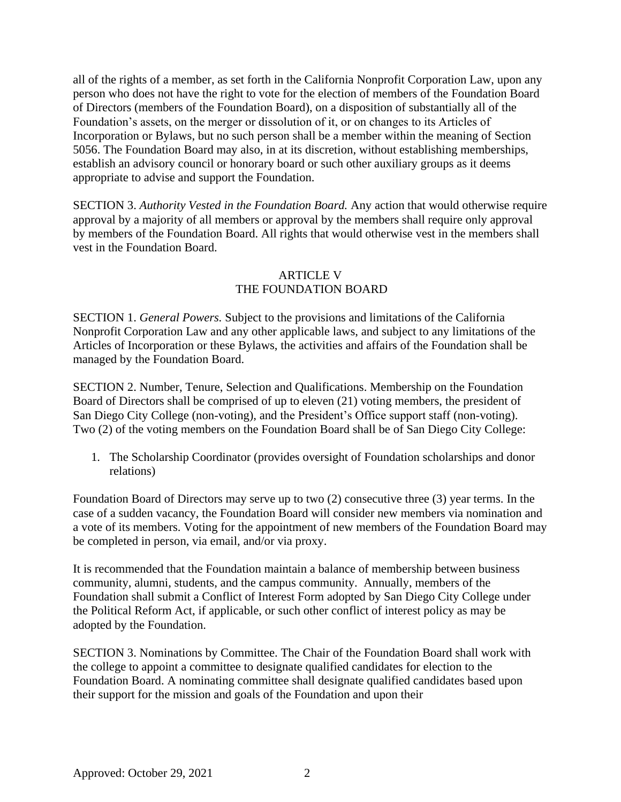all of the rights of a member, as set forth in the California Nonprofit Corporation Law, upon any person who does not have the right to vote for the election of members of the Foundation Board of Directors (members of the Foundation Board), on a disposition of substantially all of the Foundation's assets, on the merger or dissolution of it, or on changes to its Articles of Incorporation or Bylaws, but no such person shall be a member within the meaning of Section 5056. The Foundation Board may also, in at its discretion, without establishing memberships, establish an advisory council or honorary board or such other auxiliary groups as it deems appropriate to advise and support the Foundation.

SECTION 3. *Authority Vested in the Foundation Board.* Any action that would otherwise require approval by a majority of all members or approval by the members shall require only approval by members of the Foundation Board. All rights that would otherwise vest in the members shall vest in the Foundation Board.

## ARTICLE V THE FOUNDATION BOARD

SECTION 1. *General Powers.* Subject to the provisions and limitations of the California Nonprofit Corporation Law and any other applicable laws, and subject to any limitations of the Articles of Incorporation or these Bylaws, the activities and affairs of the Foundation shall be managed by the Foundation Board.

SECTION 2. Number, Tenure, Selection and Qualifications. Membership on the Foundation Board of Directors shall be comprised of up to eleven (21) voting members, the president of San Diego City College (non-voting), and the President's Office support staff (non-voting). Two (2) of the voting members on the Foundation Board shall be of San Diego City College:

1. The Scholarship Coordinator (provides oversight of Foundation scholarships and donor relations)

Foundation Board of Directors may serve up to two (2) consecutive three (3) year terms. In the case of a sudden vacancy, the Foundation Board will consider new members via nomination and a vote of its members. Voting for the appointment of new members of the Foundation Board may be completed in person, via email, and/or via proxy.

It is recommended that the Foundation maintain a balance of membership between business community, alumni, students, and the campus community. Annually, members of the Foundation shall submit a Conflict of Interest Form adopted by San Diego City College under the Political Reform Act, if applicable, or such other conflict of interest policy as may be adopted by the Foundation.

SECTION 3. Nominations by Committee. The Chair of the Foundation Board shall work with the college to appoint a committee to designate qualified candidates for election to the Foundation Board. A nominating committee shall designate qualified candidates based upon their support for the mission and goals of the Foundation and upon their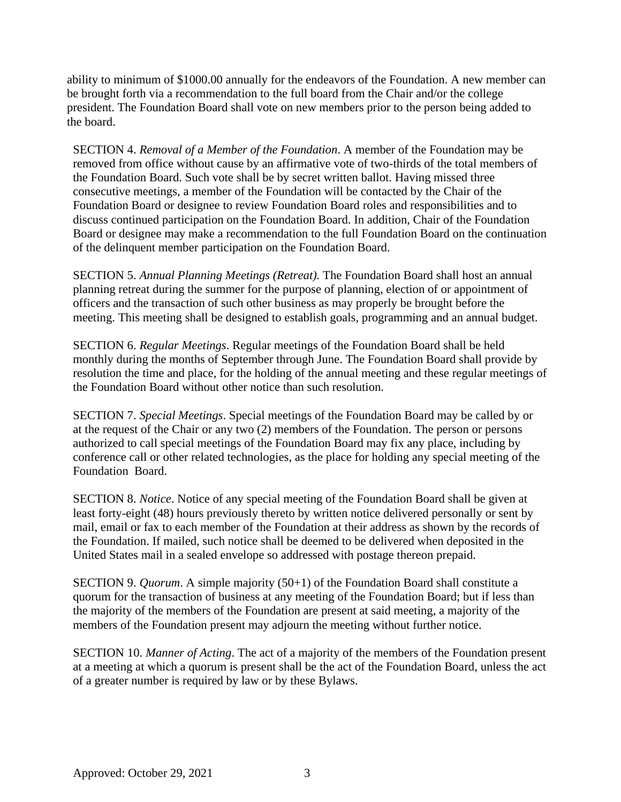ability to minimum of \$1000.00 annually for the endeavors of the Foundation. A new member can be brought forth via a recommendation to the full board from the Chair and/or the college president. The Foundation Board shall vote on new members prior to the person being added to the board.

SECTION 4. *Removal of a Member of the Foundation*. A member of the Foundation may be removed from office without cause by an affirmative vote of two-thirds of the total members of the Foundation Board. Such vote shall be by secret written ballot. Having missed three consecutive meetings, a member of the Foundation will be contacted by the Chair of the Foundation Board or designee to review Foundation Board roles and responsibilities and to discuss continued participation on the Foundation Board. In addition, Chair of the Foundation Board or designee may make a recommendation to the full Foundation Board on the continuation of the delinquent member participation on the Foundation Board.

SECTION 5. *Annual Planning Meetings (Retreat).* The Foundation Board shall host an annual planning retreat during the summer for the purpose of planning, election of or appointment of officers and the transaction of such other business as may properly be brought before the meeting. This meeting shall be designed to establish goals, programming and an annual budget.

SECTION 6. *Regular Meetings*. Regular meetings of the Foundation Board shall be held monthly during the months of September through June. The Foundation Board shall provide by resolution the time and place, for the holding of the annual meeting and these regular meetings of the Foundation Board without other notice than such resolution.

SECTION 7. *Special Meetings*. Special meetings of the Foundation Board may be called by or at the request of the Chair or any two (2) members of the Foundation. The person or persons authorized to call special meetings of the Foundation Board may fix any place, including by conference call or other related technologies, as the place for holding any special meeting of the Foundation Board.

SECTION 8. *Notice*. Notice of any special meeting of the Foundation Board shall be given at least forty-eight (48) hours previously thereto by written notice delivered personally or sent by mail, email or fax to each member of the Foundation at their address as shown by the records of the Foundation. If mailed, such notice shall be deemed to be delivered when deposited in the United States mail in a sealed envelope so addressed with postage thereon prepaid.

SECTION 9. *Quorum*. A simple majority (50+1) of the Foundation Board shall constitute a quorum for the transaction of business at any meeting of the Foundation Board; but if less than the majority of the members of the Foundation are present at said meeting, a majority of the members of the Foundation present may adjourn the meeting without further notice.

SECTION 10. *Manner of Acting*. The act of a majority of the members of the Foundation present at a meeting at which a quorum is present shall be the act of the Foundation Board, unless the act of a greater number is required by law or by these Bylaws.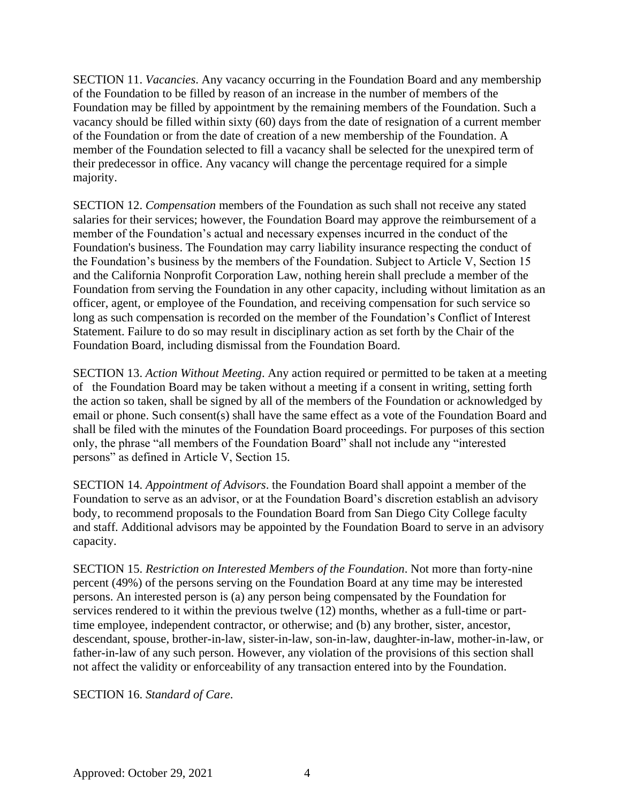SECTION 11. *Vacancies*. Any vacancy occurring in the Foundation Board and any membership of the Foundation to be filled by reason of an increase in the number of members of the Foundation may be filled by appointment by the remaining members of the Foundation. Such a vacancy should be filled within sixty (60) days from the date of resignation of a current member of the Foundation or from the date of creation of a new membership of the Foundation. A member of the Foundation selected to fill a vacancy shall be selected for the unexpired term of their predecessor in office. Any vacancy will change the percentage required for a simple majority.

SECTION 12. *Compensation* members of the Foundation as such shall not receive any stated salaries for their services; however, the Foundation Board may approve the reimbursement of a member of the Foundation's actual and necessary expenses incurred in the conduct of the Foundation's business. The Foundation may carry liability insurance respecting the conduct of the Foundation's business by the members of the Foundation. Subject to Article V, Section 15 and the California Nonprofit Corporation Law, nothing herein shall preclude a member of the Foundation from serving the Foundation in any other capacity, including without limitation as an officer, agent, or employee of the Foundation, and receiving compensation for such service so long as such compensation is recorded on the member of the Foundation's Conflict of Interest Statement. Failure to do so may result in disciplinary action as set forth by the Chair of the Foundation Board, including dismissal from the Foundation Board.

SECTION 13. *Action Without Meeting*. Any action required or permitted to be taken at a meeting of the Foundation Board may be taken without a meeting if a consent in writing, setting forth the action so taken, shall be signed by all of the members of the Foundation or acknowledged by email or phone. Such consent(s) shall have the same effect as a vote of the Foundation Board and shall be filed with the minutes of the Foundation Board proceedings. For purposes of this section only, the phrase "all members of the Foundation Board" shall not include any "interested persons" as defined in Article V, Section 15.

SECTION 14. *Appointment of Advisors*. the Foundation Board shall appoint a member of the Foundation to serve as an advisor, or at the Foundation Board's discretion establish an advisory body, to recommend proposals to the Foundation Board from San Diego City College faculty and staff. Additional advisors may be appointed by the Foundation Board to serve in an advisory capacity.

SECTION 15. *Restriction on Interested Members of the Foundation*. Not more than forty-nine percent (49%) of the persons serving on the Foundation Board at any time may be interested persons. An interested person is (a) any person being compensated by the Foundation for services rendered to it within the previous twelve (12) months, whether as a full-time or parttime employee, independent contractor, or otherwise; and (b) any brother, sister, ancestor, descendant, spouse, brother-in-law, sister-in-law, son-in-law, daughter-in-law, mother-in-law, or father-in-law of any such person. However, any violation of the provisions of this section shall not affect the validity or enforceability of any transaction entered into by the Foundation.

SECTION 16. *Standard of Care*.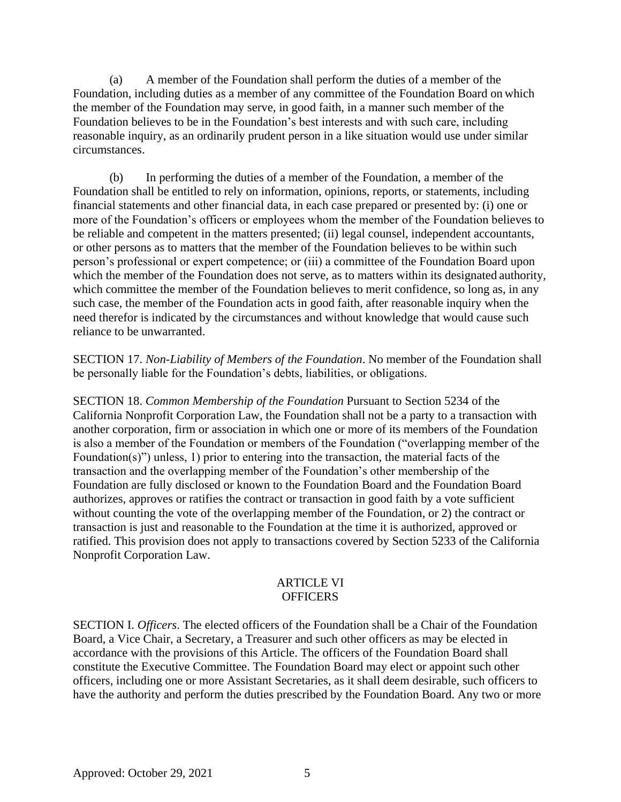(a) A member of the Foundation shall perform the duties of a member of the Foundation, including duties as a member of any committee of the Foundation Board on which the member of the Foundation may serve, in good faith, in a manner such member of the Foundation believes to be in the Foundation's best interests and with such care, including reasonable inquiry, as an ordinarily prudent person in a like situation would use under similar circumstances.

(b) In performing the duties of a member of the Foundation, a member of the Foundation shall be entitled to rely on information, opinions, reports, or statements, including financial statements and other financial data, in each case prepared or presented by: (i) one or more of the Foundation's officers or employees whom the member of the Foundation believes to be reliable and competent in the matters presented; (ii) legal counsel, independent accountants, or other persons as to matters that the member of the Foundation believes to be within such person's professional or expert competence; or (iii) a committee of the Foundation Board upon which the member of the Foundation does not serve, as to matters within its designated authority, which committee the member of the Foundation believes to merit confidence, so long as, in any such case, the member of the Foundation acts in good faith, after reasonable inquiry when the need therefor is indicated by the circumstances and without knowledge that would cause such reliance to be unwarranted.

SECTION 17. *Non-Liability of Members of the Foundation*. No member of the Foundation shall be personally liable for the Foundation's debts, liabilities, or obligations.

SECTION 18. *Common Membership of the Foundation* Pursuant to Section 5234 of the California Nonprofit Corporation Law, the Foundation shall not be a party to a transaction with another corporation, firm or association in which one or more of its members of the Foundation is also a member of the Foundation or members of the Foundation ("overlapping member of the Foundation(s)") unless, 1) prior to entering into the transaction, the material facts of the transaction and the overlapping member of the Foundation's other membership of the Foundation are fully disclosed or known to the Foundation Board and the Foundation Board authorizes, approves or ratifies the contract or transaction in good faith by a vote sufficient without counting the vote of the overlapping member of the Foundation, or 2) the contract or transaction is just and reasonable to the Foundation at the time it is authorized, approved or ratified. This provision does not apply to transactions covered by Section 5233 of the California Nonprofit Corporation Law.

#### ARTICLE VI **OFFICERS**

SECTION I. *Officers*. The elected officers of the Foundation shall be a Chair of the Foundation Board, a Vice Chair, a Secretary, a Treasurer and such other officers as may be elected in accordance with the provisions of this Article. The officers of the Foundation Board shall constitute the Executive Committee. The Foundation Board may elect or appoint such other officers, including one or more Assistant Secretaries, as it shall deem desirable, such officers to have the authority and perform the duties prescribed by the Foundation Board. Any two or more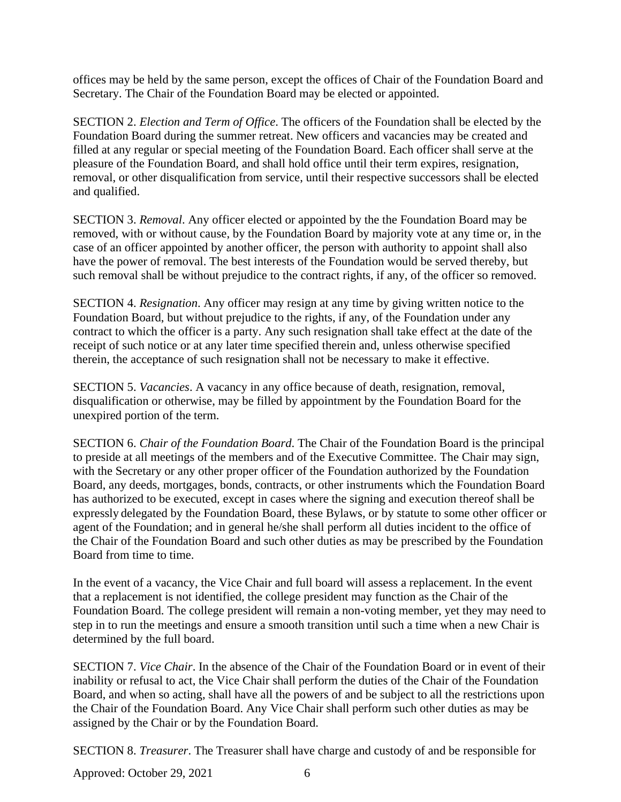offices may be held by the same person, except the offices of Chair of the Foundation Board and Secretary. The Chair of the Foundation Board may be elected or appointed.

SECTION 2. *Election and Term of Office*. The officers of the Foundation shall be elected by the Foundation Board during the summer retreat. New officers and vacancies may be created and filled at any regular or special meeting of the Foundation Board. Each officer shall serve at the pleasure of the Foundation Board, and shall hold office until their term expires, resignation, removal, or other disqualification from service, until their respective successors shall be elected and qualified.

SECTION 3. *Removal*. Any officer elected or appointed by the the Foundation Board may be removed, with or without cause, by the Foundation Board by majority vote at any time or, in the case of an officer appointed by another officer, the person with authority to appoint shall also have the power of removal. The best interests of the Foundation would be served thereby, but such removal shall be without prejudice to the contract rights, if any, of the officer so removed.

SECTION 4. *Resignation*. Any officer may resign at any time by giving written notice to the Foundation Board, but without prejudice to the rights, if any, of the Foundation under any contract to which the officer is a party. Any such resignation shall take effect at the date of the receipt of such notice or at any later time specified therein and, unless otherwise specified therein, the acceptance of such resignation shall not be necessary to make it effective.

SECTION 5. *Vacancies*. A vacancy in any office because of death, resignation, removal, disqualification or otherwise, may be filled by appointment by the Foundation Board for the unexpired portion of the term.

SECTION 6. *Chair of the Foundation Board*. The Chair of the Foundation Board is the principal to preside at all meetings of the members and of the Executive Committee. The Chair may sign, with the Secretary or any other proper officer of the Foundation authorized by the Foundation Board, any deeds, mortgages, bonds, contracts, or other instruments which the Foundation Board has authorized to be executed, except in cases where the signing and execution thereof shall be expressly delegated by the Foundation Board, these Bylaws, or by statute to some other officer or agent of the Foundation; and in general he/she shall perform all duties incident to the office of the Chair of the Foundation Board and such other duties as may be prescribed by the Foundation Board from time to time.

In the event of a vacancy, the Vice Chair and full board will assess a replacement. In the event that a replacement is not identified, the college president may function as the Chair of the Foundation Board. The college president will remain a non-voting member, yet they may need to step in to run the meetings and ensure a smooth transition until such a time when a new Chair is determined by the full board.

SECTION 7. *Vice Chair*. In the absence of the Chair of the Foundation Board or in event of their inability or refusal to act, the Vice Chair shall perform the duties of the Chair of the Foundation Board, and when so acting, shall have all the powers of and be subject to all the restrictions upon the Chair of the Foundation Board. Any Vice Chair shall perform such other duties as may be assigned by the Chair or by the Foundation Board.

SECTION 8. *Treasurer*. The Treasurer shall have charge and custody of and be responsible for

Approved: October 29, 2021 6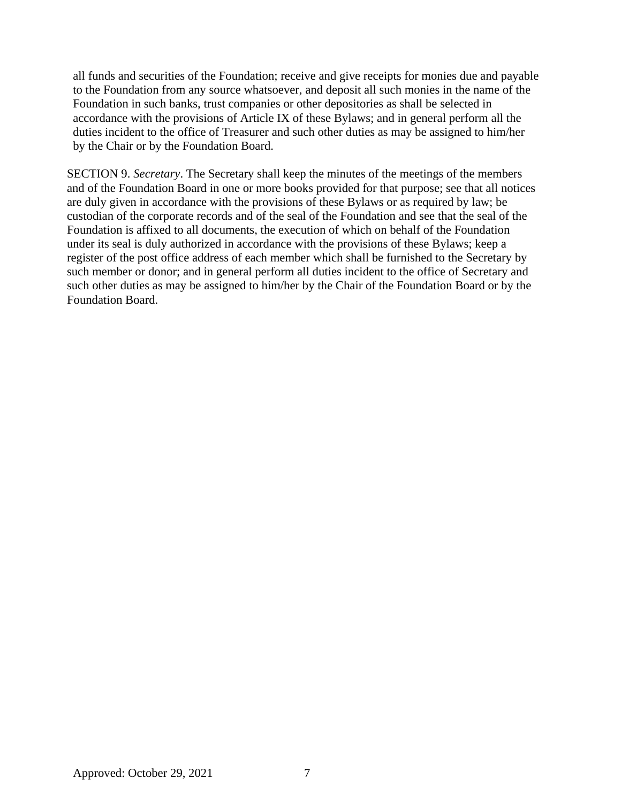all funds and securities of the Foundation; receive and give receipts for monies due and payable to the Foundation from any source whatsoever, and deposit all such monies in the name of the Foundation in such banks, trust companies or other depositories as shall be selected in accordance with the provisions of Article IX of these Bylaws; and in general perform all the duties incident to the office of Treasurer and such other duties as may be assigned to him/her by the Chair or by the Foundation Board.

SECTION 9. *Secretary*. The Secretary shall keep the minutes of the meetings of the members and of the Foundation Board in one or more books provided for that purpose; see that all notices are duly given in accordance with the provisions of these Bylaws or as required by law; be custodian of the corporate records and of the seal of the Foundation and see that the seal of the Foundation is affixed to all documents, the execution of which on behalf of the Foundation under its seal is duly authorized in accordance with the provisions of these Bylaws; keep a register of the post office address of each member which shall be furnished to the Secretary by such member or donor; and in general perform all duties incident to the office of Secretary and such other duties as may be assigned to him/her by the Chair of the Foundation Board or by the Foundation Board.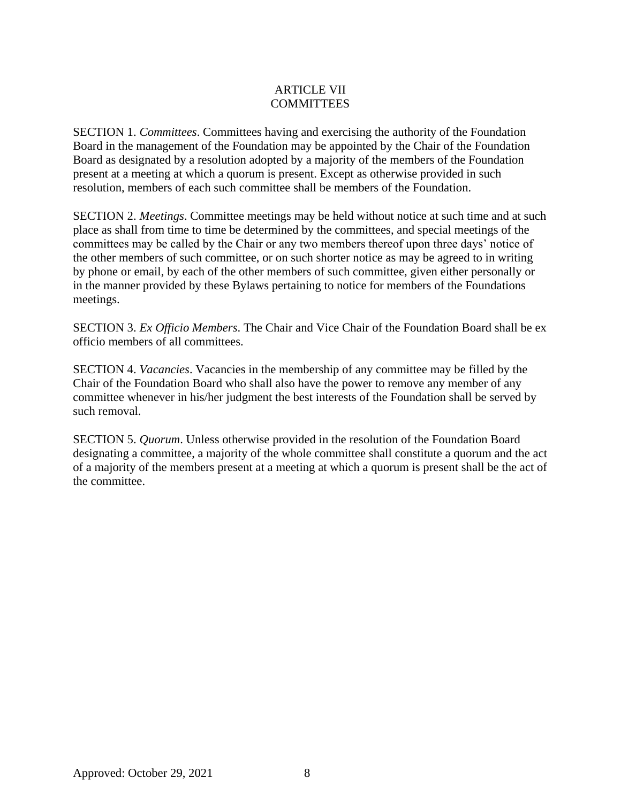### ARTICLE VII **COMMITTEES**

SECTION 1. *Committees*. Committees having and exercising the authority of the Foundation Board in the management of the Foundation may be appointed by the Chair of the Foundation Board as designated by a resolution adopted by a majority of the members of the Foundation present at a meeting at which a quorum is present. Except as otherwise provided in such resolution, members of each such committee shall be members of the Foundation.

SECTION 2. *Meetings*. Committee meetings may be held without notice at such time and at such place as shall from time to time be determined by the committees, and special meetings of the committees may be called by the Chair or any two members thereof upon three days' notice of the other members of such committee, or on such shorter notice as may be agreed to in writing by phone or email, by each of the other members of such committee, given either personally or in the manner provided by these Bylaws pertaining to notice for members of the Foundations meetings.

SECTION 3. *Ex Officio Members*. The Chair and Vice Chair of the Foundation Board shall be ex officio members of all committees.

SECTION 4. *Vacancies*. Vacancies in the membership of any committee may be filled by the Chair of the Foundation Board who shall also have the power to remove any member of any committee whenever in his/her judgment the best interests of the Foundation shall be served by such removal.

SECTION 5. *Quorum*. Unless otherwise provided in the resolution of the Foundation Board designating a committee, a majority of the whole committee shall constitute a quorum and the act of a majority of the members present at a meeting at which a quorum is present shall be the act of the committee.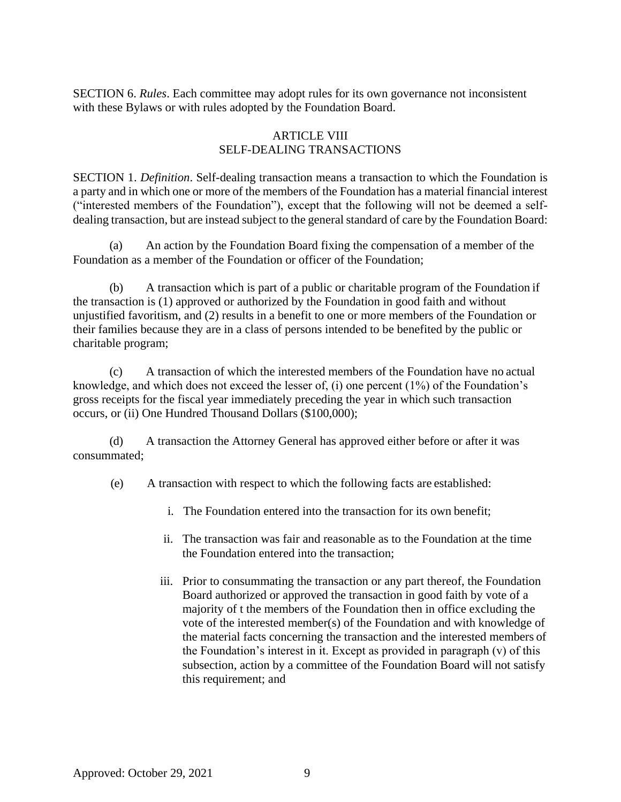SECTION 6. *Rules*. Each committee may adopt rules for its own governance not inconsistent with these Bylaws or with rules adopted by the Foundation Board.

## ARTICLE VIII SELF-DEALING TRANSACTIONS

SECTION 1. *Definition*. Self-dealing transaction means a transaction to which the Foundation is a party and in which one or more of the members of the Foundation has a material financial interest ("interested members of the Foundation"), except that the following will not be deemed a selfdealing transaction, but are instead subject to the general standard of care by the Foundation Board:

(a) An action by the Foundation Board fixing the compensation of a member of the Foundation as a member of the Foundation or officer of the Foundation;

(b) A transaction which is part of a public or charitable program of the Foundation if the transaction is (1) approved or authorized by the Foundation in good faith and without unjustified favoritism, and (2) results in a benefit to one or more members of the Foundation or their families because they are in a class of persons intended to be benefited by the public or charitable program;

(c) A transaction of which the interested members of the Foundation have no actual knowledge, and which does not exceed the lesser of, (i) one percent (1%) of the Foundation's gross receipts for the fiscal year immediately preceding the year in which such transaction occurs, or (ii) One Hundred Thousand Dollars (\$100,000);

(d) A transaction the Attorney General has approved either before or after it was consummated;

(e) A transaction with respect to which the following facts are established:

- i. The Foundation entered into the transaction for its own benefit;
- ii. The transaction was fair and reasonable as to the Foundation at the time the Foundation entered into the transaction;
- iii. Prior to consummating the transaction or any part thereof, the Foundation Board authorized or approved the transaction in good faith by vote of a majority of t the members of the Foundation then in office excluding the vote of the interested member(s) of the Foundation and with knowledge of the material facts concerning the transaction and the interested members of the Foundation's interest in it. Except as provided in paragraph (v) of this subsection, action by a committee of the Foundation Board will not satisfy this requirement; and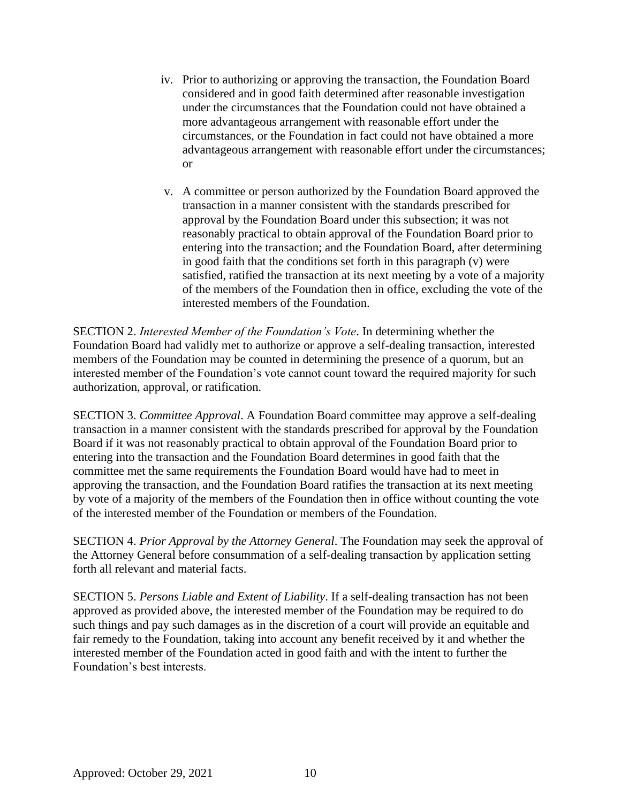- iv. Prior to authorizing or approving the transaction, the Foundation Board considered and in good faith determined after reasonable investigation under the circumstances that the Foundation could not have obtained a more advantageous arrangement with reasonable effort under the circumstances, or the Foundation in fact could not have obtained a more advantageous arrangement with reasonable effort under the circumstances; or
- v. A committee or person authorized by the Foundation Board approved the transaction in a manner consistent with the standards prescribed for approval by the Foundation Board under this subsection; it was not reasonably practical to obtain approval of the Foundation Board prior to entering into the transaction; and the Foundation Board, after determining in good faith that the conditions set forth in this paragraph (v) were satisfied, ratified the transaction at its next meeting by a vote of a majority of the members of the Foundation then in office, excluding the vote of the interested members of the Foundation.

SECTION 2. *Interested Member of the Foundation's Vote*. In determining whether the Foundation Board had validly met to authorize or approve a self-dealing transaction, interested members of the Foundation may be counted in determining the presence of a quorum, but an interested member of the Foundation's vote cannot count toward the required majority for such authorization, approval, or ratification.

SECTION 3. *Committee Approval*. A Foundation Board committee may approve a self-dealing transaction in a manner consistent with the standards prescribed for approval by the Foundation Board if it was not reasonably practical to obtain approval of the Foundation Board prior to entering into the transaction and the Foundation Board determines in good faith that the committee met the same requirements the Foundation Board would have had to meet in approving the transaction, and the Foundation Board ratifies the transaction at its next meeting by vote of a majority of the members of the Foundation then in office without counting the vote of the interested member of the Foundation or members of the Foundation.

SECTION 4. *Prior Approval by the Attorney General*. The Foundation may seek the approval of the Attorney General before consummation of a self-dealing transaction by application setting forth all relevant and material facts.

SECTION 5. *Persons Liable and Extent of Liability*. If a self-dealing transaction has not been approved as provided above, the interested member of the Foundation may be required to do such things and pay such damages as in the discretion of a court will provide an equitable and fair remedy to the Foundation, taking into account any benefit received by it and whether the interested member of the Foundation acted in good faith and with the intent to further the Foundation's best interests.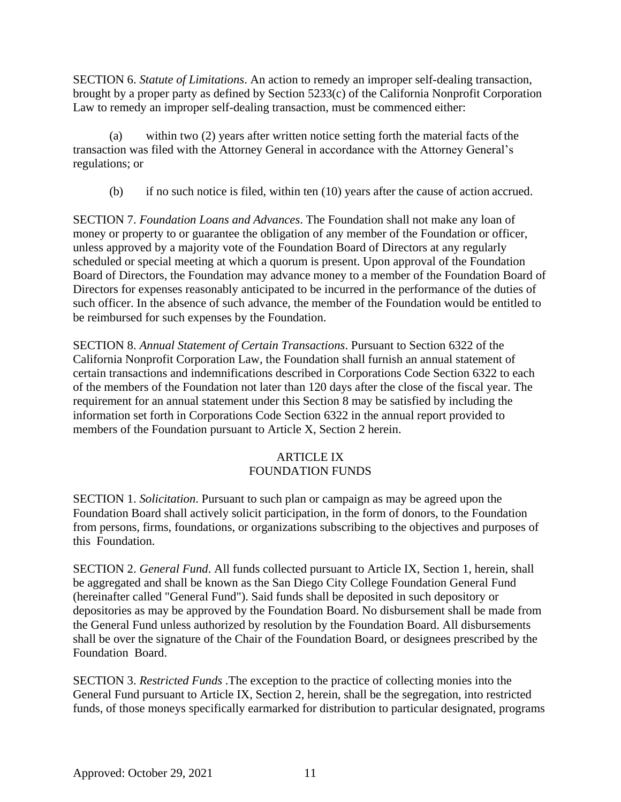SECTION 6. *Statute of Limitations*. An action to remedy an improper self-dealing transaction, brought by a proper party as defined by Section 5233(c) of the California Nonprofit Corporation Law to remedy an improper self-dealing transaction, must be commenced either:

(a) within two (2) years after written notice setting forth the material facts ofthe transaction was filed with the Attorney General in accordance with the Attorney General's regulations; or

(b) if no such notice is filed, within ten (10) years after the cause of action accrued.

SECTION 7. *Foundation Loans and Advances*. The Foundation shall not make any loan of money or property to or guarantee the obligation of any member of the Foundation or officer, unless approved by a majority vote of the Foundation Board of Directors at any regularly scheduled or special meeting at which a quorum is present. Upon approval of the Foundation Board of Directors, the Foundation may advance money to a member of the Foundation Board of Directors for expenses reasonably anticipated to be incurred in the performance of the duties of such officer. In the absence of such advance, the member of the Foundation would be entitled to be reimbursed for such expenses by the Foundation.

SECTION 8. *Annual Statement of Certain Transactions*. Pursuant to Section 6322 of the California Nonprofit Corporation Law, the Foundation shall furnish an annual statement of certain transactions and indemnifications described in Corporations Code Section 6322 to each of the members of the Foundation not later than 120 days after the close of the fiscal year. The requirement for an annual statement under this Section 8 may be satisfied by including the information set forth in Corporations Code Section 6322 in the annual report provided to members of the Foundation pursuant to Article X, Section 2 herein.

# ARTICLE IX FOUNDATION FUNDS

SECTION 1. *Solicitation*. Pursuant to such plan or campaign as may be agreed upon the Foundation Board shall actively solicit participation, in the form of donors, to the Foundation from persons, firms, foundations, or organizations subscribing to the objectives and purposes of this Foundation.

SECTION 2. *General Fund*. All funds collected pursuant to Article IX, Section 1, herein, shall be aggregated and shall be known as the San Diego City College Foundation General Fund (hereinafter called "General Fund"). Said funds shall be deposited in such depository or depositories as may be approved by the Foundation Board. No disbursement shall be made from the General Fund unless authorized by resolution by the Foundation Board. All disbursements shall be over the signature of the Chair of the Foundation Board, or designees prescribed by the Foundation Board.

SECTION 3. *Restricted Funds* .The exception to the practice of collecting monies into the General Fund pursuant to Article IX, Section 2, herein, shall be the segregation, into restricted funds, of those moneys specifically earmarked for distribution to particular designated, programs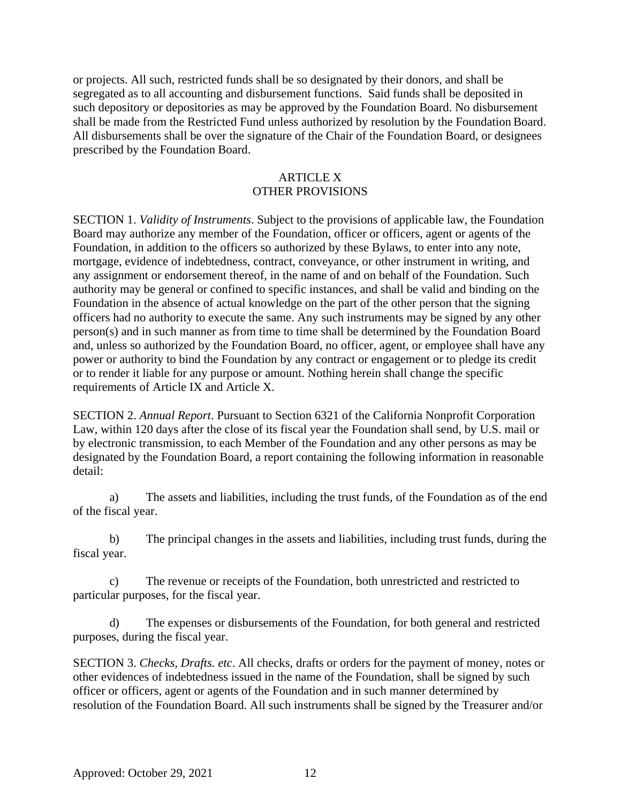or projects. All such, restricted funds shall be so designated by their donors, and shall be segregated as to all accounting and disbursement functions. Said funds shall be deposited in such depository or depositories as may be approved by the Foundation Board. No disbursement shall be made from the Restricted Fund unless authorized by resolution by the Foundation Board. All disbursements shall be over the signature of the Chair of the Foundation Board, or designees prescribed by the Foundation Board.

## ARTICLE X OTHER PROVISIONS

SECTION 1. *Validity of Instruments*. Subject to the provisions of applicable law, the Foundation Board may authorize any member of the Foundation, officer or officers, agent or agents of the Foundation, in addition to the officers so authorized by these Bylaws, to enter into any note, mortgage, evidence of indebtedness, contract, conveyance, or other instrument in writing, and any assignment or endorsement thereof, in the name of and on behalf of the Foundation. Such authority may be general or confined to specific instances, and shall be valid and binding on the Foundation in the absence of actual knowledge on the part of the other person that the signing officers had no authority to execute the same. Any such instruments may be signed by any other person(s) and in such manner as from time to time shall be determined by the Foundation Board and, unless so authorized by the Foundation Board, no officer, agent, or employee shall have any power or authority to bind the Foundation by any contract or engagement or to pledge its credit or to render it liable for any purpose or amount. Nothing herein shall change the specific requirements of Article IX and Article X.

SECTION 2. *Annual Report*. Pursuant to Section 6321 of the California Nonprofit Corporation Law, within 120 days after the close of its fiscal year the Foundation shall send, by U.S. mail or by electronic transmission, to each Member of the Foundation and any other persons as may be designated by the Foundation Board, a report containing the following information in reasonable detail:

a) The assets and liabilities, including the trust funds, of the Foundation as of the end of the fiscal year.

b) The principal changes in the assets and liabilities, including trust funds, during the fiscal year.

c) The revenue or receipts of the Foundation, both unrestricted and restricted to particular purposes, for the fiscal year.

d) The expenses or disbursements of the Foundation, for both general and restricted purposes, during the fiscal year.

SECTION 3. *Checks, Drafts. etc*. All checks, drafts or orders for the payment of money, notes or other evidences of indebtedness issued in the name of the Foundation, shall be signed by such officer or officers, agent or agents of the Foundation and in such manner determined by resolution of the Foundation Board. All such instruments shall be signed by the Treasurer and/or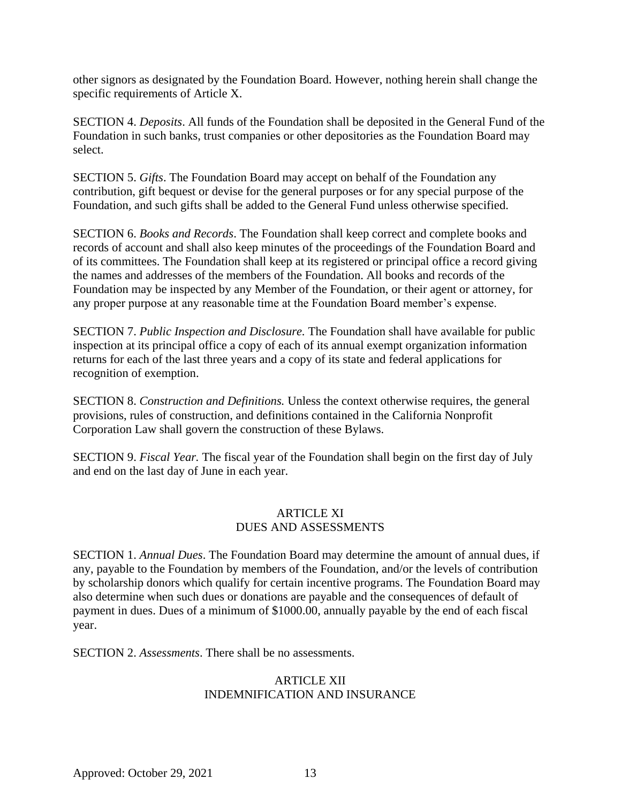other signors as designated by the Foundation Board. However, nothing herein shall change the specific requirements of Article X.

SECTION 4. *Deposits*. All funds of the Foundation shall be deposited in the General Fund of the Foundation in such banks, trust companies or other depositories as the Foundation Board may select.

SECTION 5. *Gifts*. The Foundation Board may accept on behalf of the Foundation any contribution, gift bequest or devise for the general purposes or for any special purpose of the Foundation, and such gifts shall be added to the General Fund unless otherwise specified.

SECTION 6. *Books and Records*. The Foundation shall keep correct and complete books and records of account and shall also keep minutes of the proceedings of the Foundation Board and of its committees. The Foundation shall keep at its registered or principal office a record giving the names and addresses of the members of the Foundation. All books and records of the Foundation may be inspected by any Member of the Foundation, or their agent or attorney, for any proper purpose at any reasonable time at the Foundation Board member's expense.

SECTION 7. *Public Inspection and Disclosure.* The Foundation shall have available for public inspection at its principal office a copy of each of its annual exempt organization information returns for each of the last three years and a copy of its state and federal applications for recognition of exemption.

SECTION 8. *Construction and Definitions.* Unless the context otherwise requires, the general provisions, rules of construction, and definitions contained in the California Nonprofit Corporation Law shall govern the construction of these Bylaws.

SECTION 9. *Fiscal Year.* The fiscal year of the Foundation shall begin on the first day of July and end on the last day of June in each year.

### ARTICLE XI DUES AND ASSESSMENTS

SECTION 1. *Annual Dues*. The Foundation Board may determine the amount of annual dues, if any, payable to the Foundation by members of the Foundation, and/or the levels of contribution by scholarship donors which qualify for certain incentive programs. The Foundation Board may also determine when such dues or donations are payable and the consequences of default of payment in dues. Dues of a minimum of \$1000.00, annually payable by the end of each fiscal year.

SECTION 2. *Assessments*. There shall be no assessments.

## ARTICLE XII INDEMNIFICATION AND INSURANCE